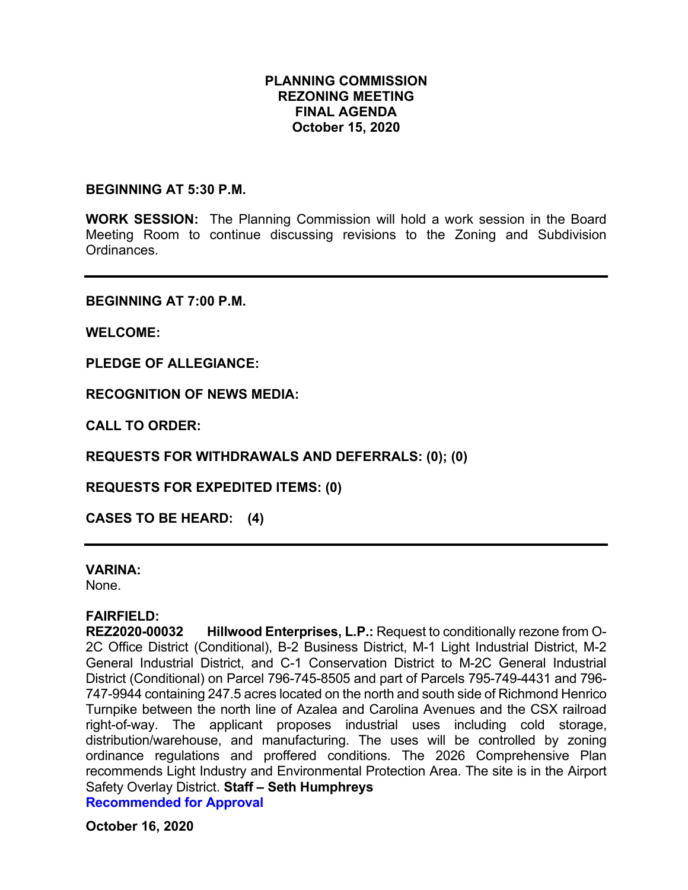# **PLANNING COMMISSION REZONING MEETING FINAL AGENDA October 15, 2020**

#### **BEGINNING AT 5:30 P.M.**

**WORK SESSION:** The Planning Commission will hold a work session in the Board Meeting Room to continue discussing revisions to the Zoning and Subdivision **Ordinances** 

**BEGINNING AT 7:00 P.M.**

**WELCOME:**

**PLEDGE OF ALLEGIANCE:**

**RECOGNITION OF NEWS MEDIA:**

**CALL TO ORDER:**

**REQUESTS FOR WITHDRAWALS AND DEFERRALS: (0); (0)**

**REQUESTS FOR EXPEDITED ITEMS: (0)**

**CASES TO BE HEARD: (4)**

#### **VARINA:**

None.

**FAIRFIELD: Hillwood Enterprises, L.P.: Request to conditionally rezone from O-**2C Office District (Conditional), B-2 Business District, M-1 Light Industrial District, M-2 General Industrial District, and C-1 Conservation District to M-2C General Industrial District (Conditional) on Parcel 796-745-8505 and part of Parcels 795-749-4431 and 796- 747-9944 containing 247.5 acres located on the north and south side of Richmond Henrico Turnpike between the north line of Azalea and Carolina Avenues and the CSX railroad right-of-way. The applicant proposes industrial uses including cold storage, distribution/warehouse, and manufacturing. The uses will be controlled by zoning ordinance regulations and proffered conditions. The 2026 Comprehensive Plan recommends Light Industry and Environmental Protection Area. The site is in the Airport Safety Overlay District. **Staff – Seth Humphreys Recommended for Approval**

**October 16, 2020**